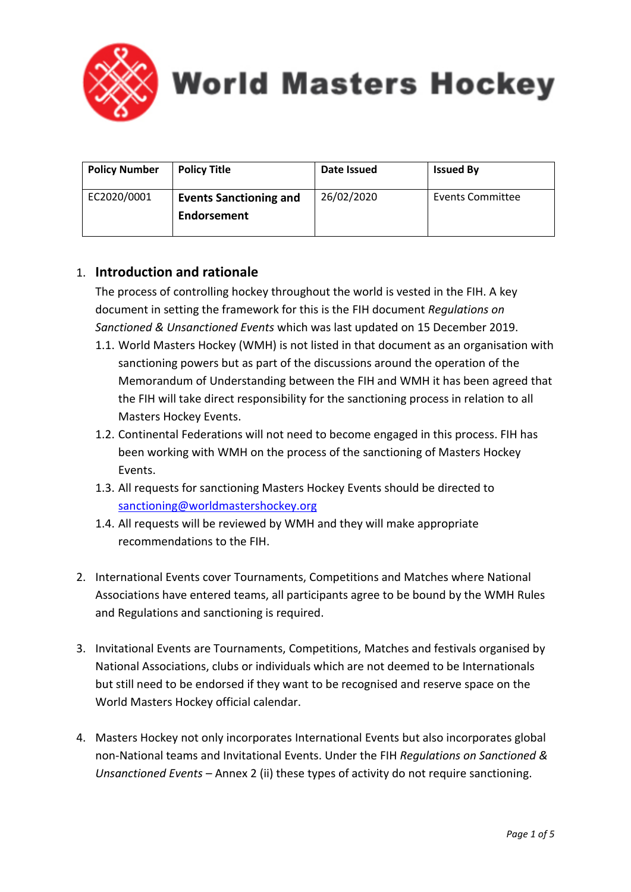

**World Masters Hockey** 

| <b>Policy Number</b> | <b>Policy Title</b>                          | Date Issued | <b>Issued By</b> |
|----------------------|----------------------------------------------|-------------|------------------|
| EC2020/0001          | <b>Events Sanctioning and</b><br>Endorsement | 26/02/2020  | Events Committee |

## 1. **Introduction and rationale**

The process of controlling hockey throughout the world is vested in the FIH. A key document in setting the framework for this is the FIH document *Regulations on Sanctioned & Unsanctioned Events* which was last updated on 15 December 2019.

- 1.1. World Masters Hockey (WMH) is not listed in that document as an organisation with sanctioning powers but as part of the discussions around the operation of the Memorandum of Understanding between the FIH and WMH it has been agreed that the FIH will take direct responsibility for the sanctioning process in relation to all Masters Hockey Events.
- 1.2. Continental Federations will not need to become engaged in this process. FIH has been working with WMH on the process of the sanctioning of Masters Hockey Events.
- 1.3. All requests for sanctioning Masters Hockey Events should be directed to [sanctioning@worldmastershockey.org](about:blank)
- 1.4. All requests will be reviewed by WMH and they will make appropriate recommendations to the FIH.
- 2. International Events cover Tournaments, Competitions and Matches where National Associations have entered teams, all participants agree to be bound by the WMH Rules and Regulations and sanctioning is required.
- 3. Invitational Events are Tournaments, Competitions, Matches and festivals organised by National Associations, clubs or individuals which are not deemed to be Internationals but still need to be endorsed if they want to be recognised and reserve space on the World Masters Hockey official calendar.
- 4. Masters Hockey not only incorporates International Events but also incorporates global non-National teams and Invitational Events. Under the FIH *Regulations on Sanctioned & Unsanctioned Events* – Annex 2 (ii) these types of activity do not require sanctioning.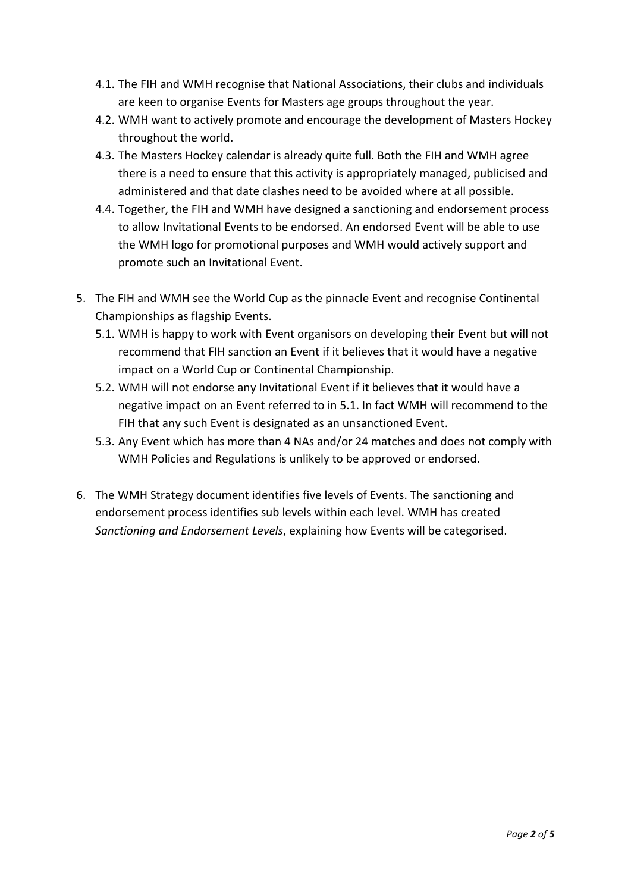- 4.1. The FIH and WMH recognise that National Associations, their clubs and individuals are keen to organise Events for Masters age groups throughout the year.
- 4.2. WMH want to actively promote and encourage the development of Masters Hockey throughout the world.
- 4.3. The Masters Hockey calendar is already quite full. Both the FIH and WMH agree there is a need to ensure that this activity is appropriately managed, publicised and administered and that date clashes need to be avoided where at all possible.
- 4.4. Together, the FIH and WMH have designed a sanctioning and endorsement process to allow Invitational Events to be endorsed. An endorsed Event will be able to use the WMH logo for promotional purposes and WMH would actively support and promote such an Invitational Event.
- 5. The FIH and WMH see the World Cup as the pinnacle Event and recognise Continental Championships as flagship Events.
	- 5.1. WMH is happy to work with Event organisors on developing their Event but will not recommend that FIH sanction an Event if it believes that it would have a negative impact on a World Cup or Continental Championship.
	- 5.2. WMH will not endorse any Invitational Event if it believes that it would have a negative impact on an Event referred to in 5.1. In fact WMH will recommend to the FIH that any such Event is designated as an unsanctioned Event.
	- 5.3. Any Event which has more than 4 NAs and/or 24 matches and does not comply with WMH Policies and Regulations is unlikely to be approved or endorsed.
- 6. The WMH Strategy document identifies five levels of Events. The sanctioning and endorsement process identifies sub levels within each level. WMH has created *Sanctioning and Endorsement Levels*, explaining how Events will be categorised.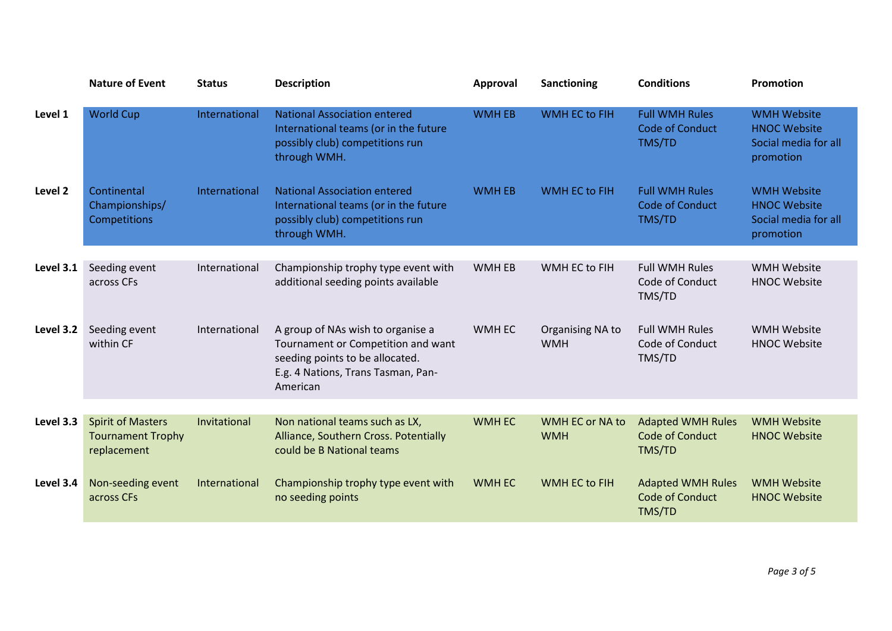|           | <b>Nature of Event</b>                                              | <b>Status</b> | <b>Description</b>                                                                                                                                           | Approval      | <b>Sanctioning</b>             | <b>Conditions</b>                                            | Promotion                                                                      |
|-----------|---------------------------------------------------------------------|---------------|--------------------------------------------------------------------------------------------------------------------------------------------------------------|---------------|--------------------------------|--------------------------------------------------------------|--------------------------------------------------------------------------------|
| Level 1   | <b>World Cup</b>                                                    | International | <b>National Association entered</b><br>International teams (or in the future<br>possibly club) competitions run<br>through WMH.                              | <b>WMH EB</b> | <b>WMH EC to FIH</b>           | <b>Full WMH Rules</b><br><b>Code of Conduct</b><br>TMS/TD    | <b>WMH Website</b><br><b>HNOC Website</b><br>Social media for all<br>promotion |
| Level 2   | Continental<br>Championships/<br>Competitions                       | International | <b>National Association entered</b><br>International teams (or in the future<br>possibly club) competitions run<br>through WMH.                              | <b>WMH EB</b> | WMH EC to FIH                  | <b>Full WMH Rules</b><br><b>Code of Conduct</b><br>TMS/TD    | <b>WMH Website</b><br><b>HNOC Website</b><br>Social media for all<br>promotion |
| Level 3.1 | Seeding event                                                       | International | Championship trophy type event with                                                                                                                          | WMH EB        | WMH EC to FIH                  | <b>Full WMH Rules</b>                                        | <b>WMH Website</b>                                                             |
|           | across CFs                                                          |               | additional seeding points available                                                                                                                          |               |                                | Code of Conduct<br>TMS/TD                                    | <b>HNOC Website</b>                                                            |
| Level 3.2 | Seeding event<br>within CF                                          | International | A group of NAs wish to organise a<br>Tournament or Competition and want<br>seeding points to be allocated.<br>E.g. 4 Nations, Trans Tasman, Pan-<br>American | WMH EC        | Organising NA to<br><b>WMH</b> | <b>Full WMH Rules</b><br>Code of Conduct<br>TMS/TD           | <b>WMH Website</b><br><b>HNOC Website</b>                                      |
|           |                                                                     |               |                                                                                                                                                              |               |                                |                                                              |                                                                                |
| Level 3.3 | <b>Spirit of Masters</b><br><b>Tournament Trophy</b><br>replacement | Invitational  | Non national teams such as LX,<br>Alliance, Southern Cross. Potentially<br>could be B National teams                                                         | <b>WMH EC</b> | WMH EC or NA to<br><b>WMH</b>  | <b>Adapted WMH Rules</b><br><b>Code of Conduct</b><br>TMS/TD | <b>WMH Website</b><br><b>HNOC Website</b>                                      |
| Level 3.4 | Non-seeding event<br>across CFs                                     | International | Championship trophy type event with<br>no seeding points                                                                                                     | <b>WMH EC</b> | WMH EC to FIH                  | <b>Adapted WMH Rules</b><br><b>Code of Conduct</b><br>TMS/TD | <b>WMH Website</b><br><b>HNOC Website</b>                                      |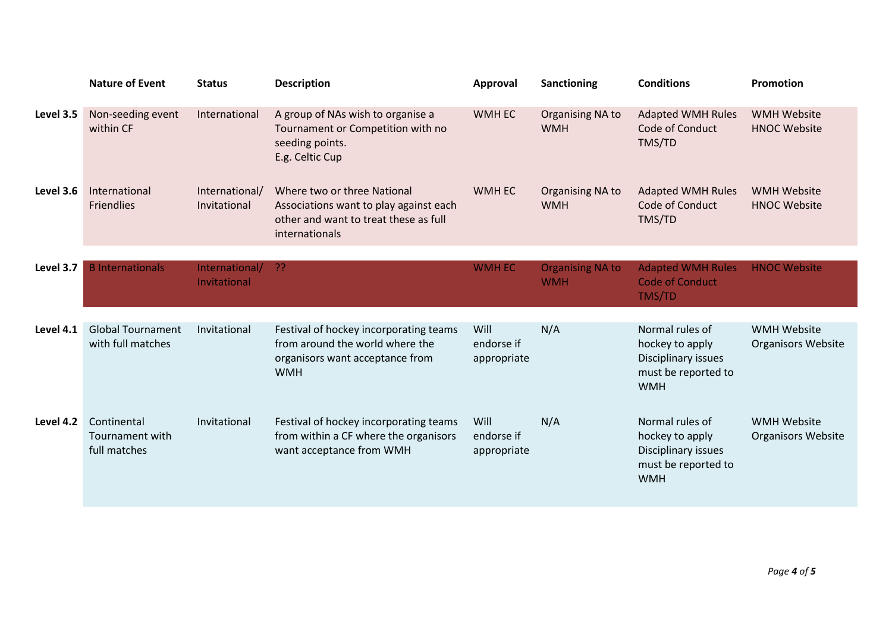|           | <b>Nature of Event</b>                         | <b>Status</b>                  | <b>Description</b>                                                                                                               | Approval                          | Sanctioning                    | <b>Conditions</b>                                                                              | Promotion                                       |
|-----------|------------------------------------------------|--------------------------------|----------------------------------------------------------------------------------------------------------------------------------|-----------------------------------|--------------------------------|------------------------------------------------------------------------------------------------|-------------------------------------------------|
| Level 3.5 | Non-seeding event<br>within CF                 | International                  | A group of NAs wish to organise a<br>Tournament or Competition with no<br>seeding points.<br>E.g. Celtic Cup                     | WMH EC                            | Organising NA to<br><b>WMH</b> | <b>Adapted WMH Rules</b><br>Code of Conduct<br>TMS/TD                                          | <b>WMH Website</b><br><b>HNOC Website</b>       |
| Level 3.6 | International<br><b>Friendlies</b>             | International/<br>Invitational | Where two or three National<br>Associations want to play against each<br>other and want to treat these as full<br>internationals | <b>WMH EC</b>                     | Organising NA to<br><b>WMH</b> | <b>Adapted WMH Rules</b><br>Code of Conduct<br>TMS/TD                                          | <b>WMH Website</b><br><b>HNOC Website</b>       |
| Level 3.7 | <b>B</b> Internationals                        | International/                 | -22                                                                                                                              | <b>WMH EC</b>                     | <b>Organising NA to</b>        | <b>Adapted WMH Rules</b>                                                                       | <b>HNOC Website</b>                             |
|           |                                                | Invitational                   |                                                                                                                                  |                                   | <b>WMH</b>                     | <b>Code of Conduct</b><br>TMS/TD                                                               |                                                 |
| Level 4.1 | <b>Global Tournament</b>                       | Invitational                   | Festival of hockey incorporating teams                                                                                           | Will                              | N/A                            | Normal rules of                                                                                | <b>WMH Website</b>                              |
|           | with full matches                              |                                | from around the world where the<br>organisors want acceptance from<br><b>WMH</b>                                                 | endorse if<br>appropriate         |                                | hockey to apply<br>Disciplinary issues<br>must be reported to<br><b>WMH</b>                    | <b>Organisors Website</b>                       |
| Level 4.2 | Continental<br>Tournament with<br>full matches | Invitational                   | Festival of hockey incorporating teams<br>from within a CF where the organisors<br>want acceptance from WMH                      | Will<br>endorse if<br>appropriate | N/A                            | Normal rules of<br>hockey to apply<br>Disciplinary issues<br>must be reported to<br><b>WMH</b> | <b>WMH Website</b><br><b>Organisors Website</b> |